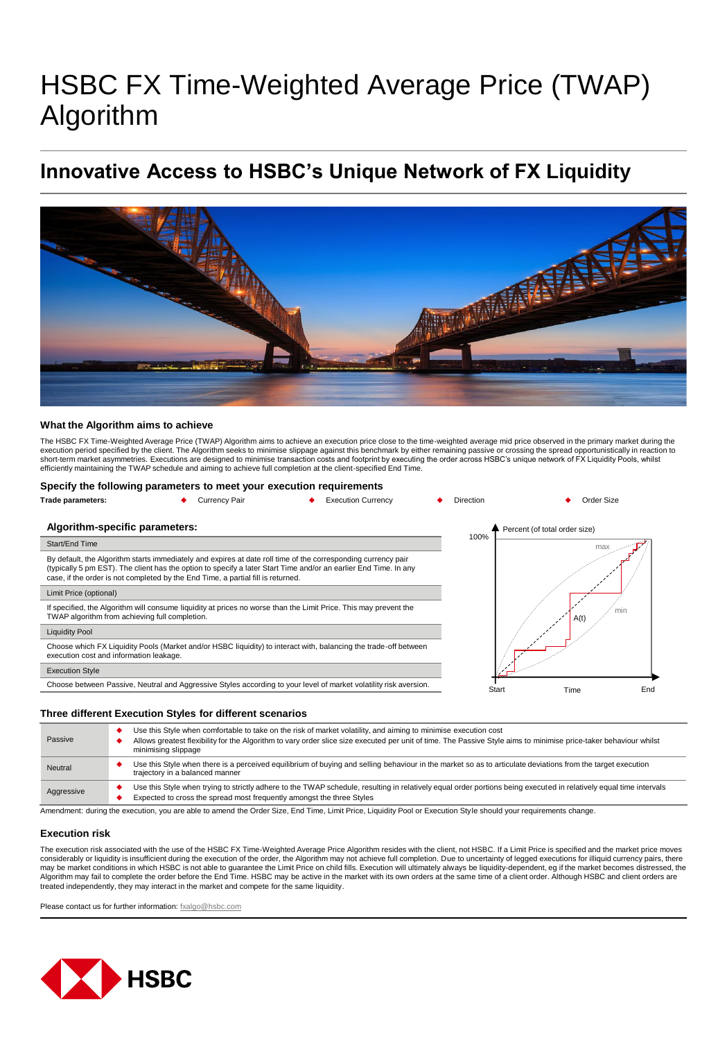# HSBC FX Time-Weighted Average Price (TWAP) Algorithm

## **Innovative Access to HSBC's Unique Network of FX Liquidity**



#### **What the Algorithm aims to achieve**

The HSBC FX Time-Weighted Average Price (TWAP) Algorithm aims to achieve an execution price close to the time-weighted average mid price observed in the primary market during the execution period specified by the client. The Algorithm seeks to minimise slippage against this benchmark by either remaining passive or crossing the spread opportunistically in reaction to short-term market asymmetries. Executions are designed to minimise transaction costs and footprint by executing the order across HSBC's unique network of FX Liquidity Pools, whilst<br>efficiently maintaining the TWAP schedule

#### **Specify the following parameters to meet your execution requirements**



#### **Three different Execution Styles for different scenarios**

| Passive                                                                                                                                                                                                                        | Use this Style when comfortable to take on the risk of market volatility, and aiming to minimise execution cost<br>Allows greatest flexibility for the Algorithm to vary order slice size executed per unit of time. The Passive Style aims to minimise price-taker behaviour whilst<br>minimising slippage |  |
|--------------------------------------------------------------------------------------------------------------------------------------------------------------------------------------------------------------------------------|-------------------------------------------------------------------------------------------------------------------------------------------------------------------------------------------------------------------------------------------------------------------------------------------------------------|--|
| Neutral                                                                                                                                                                                                                        | Use this Style when there is a perceived equilibrium of buying and selling behaviour in the market so as to articulate deviations from the target execution<br>trajectory in a balanced manner                                                                                                              |  |
| Aggressive                                                                                                                                                                                                                     | Use this Style when trying to strictly adhere to the TWAP schedule, resulting in relatively equal order portions being executed in relatively equal time intervals<br>Expected to cross the spread most frequently amongst the three Styles                                                                 |  |
| Against the communication of the communication of the Color City Final Time Holds Hould Drive Darl of Francisco Chile abound increased above the security of the security of the communication of the security of the second s |                                                                                                                                                                                                                                                                                                             |  |

ment: during the execution, you are able to amend the Order Size, End Time, Limit Price, Liquidity Pool or Execution Style should your requirements change.

#### **Execution risk**

The execution risk associated with the use of the HSBC FX Time-Weighted Average Price Algorithm resides with the client, not HSBC. If a Limit Price is specified and the market price moves considerably or liquidity is insufficient during the execution of the order, the Algorithm may not achieve full completion. Due to uncertainty of legged executions for illiquid currency pairs, there may be market conditions in which HSBC is not able to guarantee the Limit Price on child fills. Execution will ultimately always be liquidity-dependent, eg if the market becomes distressed, the<br>Algorithm may fail to comple treated independently, they may interact in the market and compete for the same liquidity.

Please contact us for further information: [fxalgo@hsbc.com](mailto:fxalgo@hsbc.com)